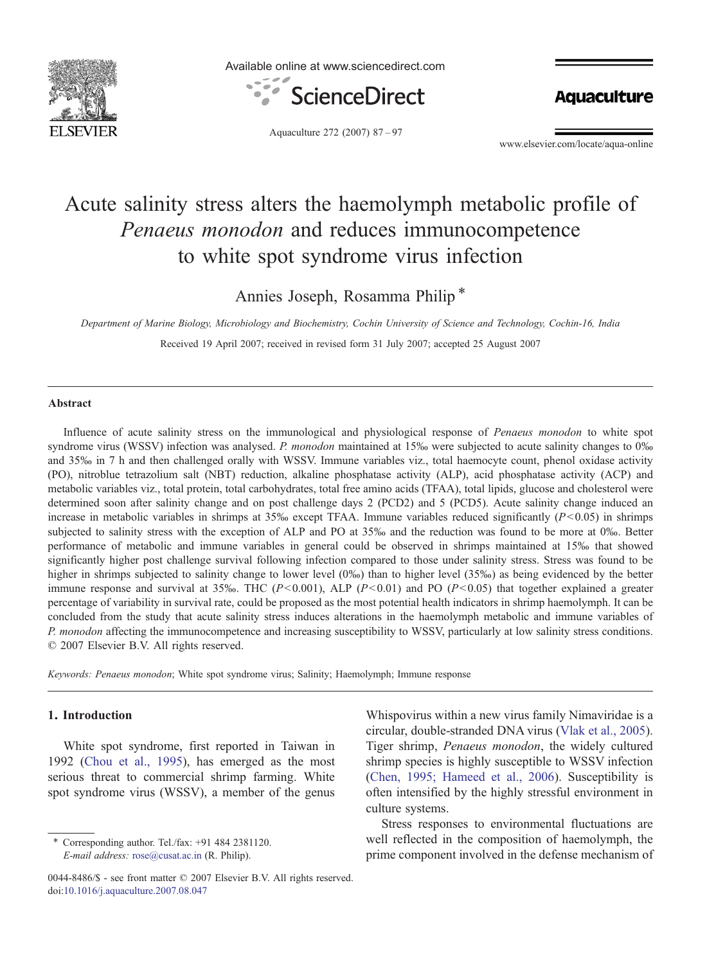

Available online at www.sciencedirect.com



**Aquaculture** 

Aquaculture 272 (2007) 87–97

www.elsevier.com/locate/aqua-online

# Acute salinity stress alters the haemolymph metabolic profile of Penaeus monodon and reduces immunocompetence to white spot syndrome virus infection

Annies Joseph, Rosamma Philip\*

Department of Marine Biology, Microbiology and Biochemistry, Cochin University of Science and Technology, Cochin-16, India Received 19 April 2007; received in revised form 31 July 2007; accepted 25 August 2007

## Abstract

Influence of acute salinity stress on the immunological and physiological response of Penaeus monodon to white spot syndrome virus (WSSV) infection was analysed. P. monodon maintained at 15‰ were subjected to acute salinity changes to 0‰ and 35‰ in 7 h and then challenged orally with WSSV. Immune variables viz., total haemocyte count, phenol oxidase activity (PO), nitroblue tetrazolium salt (NBT) reduction, alkaline phosphatase activity (ALP), acid phosphatase activity (ACP) and metabolic variables viz., total protein, total carbohydrates, total free amino acids (TFAA), total lipids, glucose and cholesterol were determined soon after salinity change and on post challenge days 2 (PCD2) and 5 (PCD5). Acute salinity change induced an increase in metabolic variables in shrimps at 35‰ except TFAA. Immune variables reduced significantly  $(P<0.05)$  in shrimps subjected to salinity stress with the exception of ALP and PO at 35‰ and the reduction was found to be more at 0‰. Better performance of metabolic and immune variables in general could be observed in shrimps maintained at 15‰ that showed significantly higher post challenge survival following infection compared to those under salinity stress. Stress was found to be higher in shrimps subjected to salinity change to lower level (0‰) than to higher level (35‰) as being evidenced by the better immune response and survival at 35‰. THC ( $P<0.001$ ), ALP ( $P<0.01$ ) and PO ( $P<0.05$ ) that together explained a greater percentage of variability in survival rate, could be proposed as the most potential health indicators in shrimp haemolymph. It can be concluded from the study that acute salinity stress induces alterations in the haemolymph metabolic and immune variables of P. monodon affecting the immunocompetence and increasing susceptibility to WSSV, particularly at low salinity stress conditions. © 2007 Elsevier B.V. All rights reserved.

Keywords: Penaeus monodon; White spot syndrome virus; Salinity; Haemolymph; Immune response

# 1. Introduction

White spot syndrome, first reported in Taiwan in 1992 [\(Chou et al., 1995\)](#page-9-0), has emerged as the most serious threat to commercial shrimp farming. White spot syndrome virus (WSSV), a member of the genus

Whispovirus within a new virus family Nimaviridae is a circular, double-stranded DNA virus ([Vlak et al., 2005](#page-10-0)). Tiger shrimp, Penaeus monodon, the widely cultured shrimp species is highly susceptible to WSSV infection [\(Chen, 1995; Hameed et al., 2006](#page-9-0)). Susceptibility is often intensified by the highly stressful environment in culture systems.

Stress responses to environmental fluctuations are well reflected in the composition of haemolymph, the prime component involved in the defense mechanism of

<sup>⁎</sup> Corresponding author. Tel./fax: +91 484 2381120. E-mail address: [rose@cusat.ac.in](mailto:rose@cusat.ac.in) (R. Philip).

<sup>0044-8486/\$ -</sup> see front matter © 2007 Elsevier B.V. All rights reserved. doi[:10.1016/j.aquaculture.2007.08.047](http://dx.doi.org/10.1016/j.aquaculture.2007.08.047)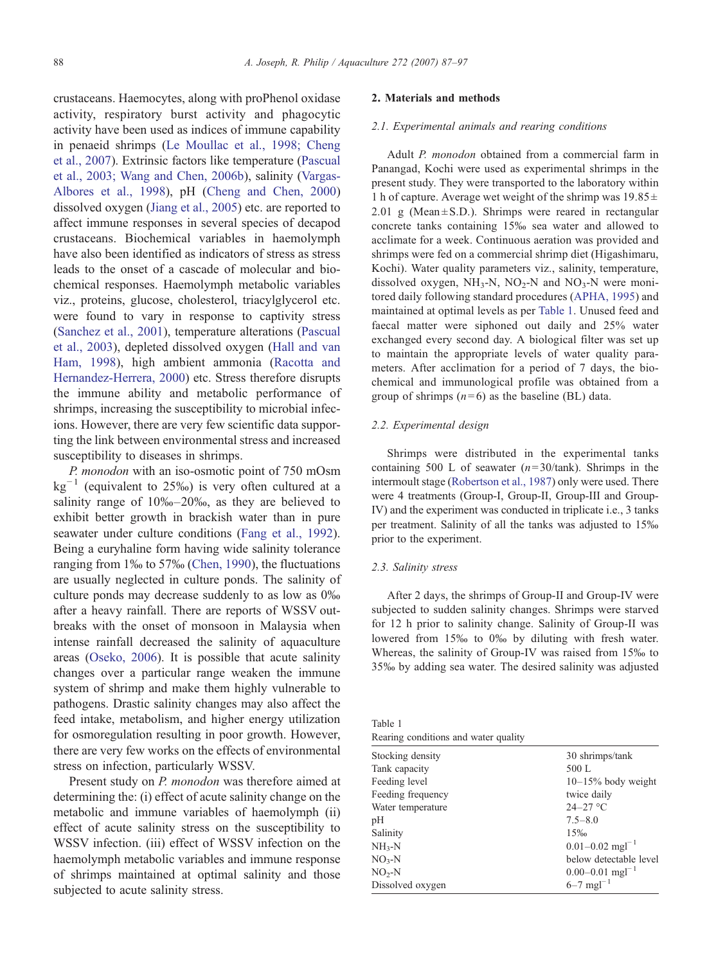crustaceans. Haemocytes, along with proPhenol oxidase activity, respiratory burst activity and phagocytic activity have been used as indices of immune capability in penaeid shrimps ([Le Moullac et al., 1998; Cheng](#page-9-0) [et al., 2007\)](#page-9-0). Extrinsic factors like temperature [\(Pascual](#page-9-0) [et al., 2003; Wang and Chen, 2006b\)](#page-9-0), salinity [\(Vargas-](#page-10-0)[Albores et al., 1998\)](#page-10-0), pH [\(Cheng and Chen, 2000](#page-9-0)) dissolved oxygen ([Jiang et al., 2005](#page-9-0)) etc. are reported to affect immune responses in several species of decapod crustaceans. Biochemical variables in haemolymph have also been identified as indicators of stress as stress leads to the onset of a cascade of molecular and biochemical responses. Haemolymph metabolic variables viz., proteins, glucose, cholesterol, triacylglycerol etc. were found to vary in response to captivity stress [\(Sanchez et al., 2001\)](#page-10-0), temperature alterations [\(Pascual](#page-9-0) [et al., 2003](#page-9-0)), depleted dissolved oxygen ([Hall and van](#page-9-0) [Ham, 1998\)](#page-9-0), high ambient ammonia [\(Racotta and](#page-9-0) [Hernandez-Herrera, 2000\)](#page-9-0) etc. Stress therefore disrupts the immune ability and metabolic performance of shrimps, increasing the susceptibility to microbial infecions. However, there are very few scientific data supporting the link between environmental stress and increased susceptibility to diseases in shrimps.

P. monodon with an iso-osmotic point of 750 mOsm  $kg^{-1}$  (equivalent to 25‰) is very often cultured at a salinity range of 10‰–20‰, as they are believed to exhibit better growth in brackish water than in pure seawater under culture conditions ([Fang et al., 1992\)](#page-9-0). Being a euryhaline form having wide salinity tolerance ranging from 1‰ to 57‰ ([Chen, 1990](#page-9-0)), the fluctuations are usually neglected in culture ponds. The salinity of culture ponds may decrease suddenly to as low as 0‰ after a heavy rainfall. There are reports of WSSV outbreaks with the onset of monsoon in Malaysia when intense rainfall decreased the salinity of aquaculture areas ([Oseko, 2006](#page-9-0)). It is possible that acute salinity changes over a particular range weaken the immune system of shrimp and make them highly vulnerable to pathogens. Drastic salinity changes may also affect the feed intake, metabolism, and higher energy utilization for osmoregulation resulting in poor growth. However, there are very few works on the effects of environmental stress on infection, particularly WSSV.

Present study on P. monodon was therefore aimed at determining the: (i) effect of acute salinity change on the metabolic and immune variables of haemolymph (ii) effect of acute salinity stress on the susceptibility to WSSV infection. (iii) effect of WSSV infection on the haemolymph metabolic variables and immune response of shrimps maintained at optimal salinity and those subjected to acute salinity stress.

# 2. Materials and methods

## 2.1. Experimental animals and rearing conditions

Adult P. monodon obtained from a commercial farm in Panangad, Kochi were used as experimental shrimps in the present study. They were transported to the laboratory within 1 h of capture. Average wet weight of the shrimp was  $19.85 \pm$  $2.01$  g (Mean  $\pm$  S.D.). Shrimps were reared in rectangular concrete tanks containing 15‰ sea water and allowed to acclimate for a week. Continuous aeration was provided and shrimps were fed on a commercial shrimp diet (Higashimaru, Kochi). Water quality parameters viz., salinity, temperature, dissolved oxygen,  $NH<sub>3</sub>-N$ ,  $NO<sub>2</sub>-N$  and  $NO<sub>3</sub>-N$  were monitored daily following standard procedures ([APHA, 1995](#page-9-0)) and maintained at optimal levels as per Table 1. Unused feed and faecal matter were siphoned out daily and 25% water exchanged every second day. A biological filter was set up to maintain the appropriate levels of water quality parameters. After acclimation for a period of 7 days, the biochemical and immunological profile was obtained from a group of shrimps  $(n=6)$  as the baseline (BL) data.

## 2.2. Experimental design

Shrimps were distributed in the experimental tanks containing 500 L of seawater  $(n=30/tank)$ . Shrimps in the intermoult stage ([Robertson et al., 1987\)](#page-10-0) only were used. There were 4 treatments (Group-I, Group-II, Group-III and Group-IV) and the experiment was conducted in triplicate i.e., 3 tanks per treatment. Salinity of all the tanks was adjusted to 15‰ prior to the experiment.

## 2.3. Salinity stress

After 2 days, the shrimps of Group-II and Group-IV were subjected to sudden salinity changes. Shrimps were starved for 12 h prior to salinity change. Salinity of Group-II was lowered from 15‰ to 0‰ by diluting with fresh water. Whereas, the salinity of Group-IV was raised from 15‰ to 35‰ by adding sea water. The desired salinity was adjusted

Table 1 Rearing conditions and water quality

| Stocking density  | 30 shrimps/tank                 |
|-------------------|---------------------------------|
| Tank capacity     | 500 L                           |
| Feeding level     | $10-15%$ body weight            |
| Feeding frequency | twice daily                     |
| Water temperature | $24 - 27$ °C                    |
| pН                | $7.5 - 8.0$                     |
| Salinity          | 15‰                             |
| $NH3-N$           | $0.01 - 0.02$ mgl <sup>-1</sup> |
| $NO3-N$           | below detectable level          |
| $NO2-N$           | $0.00-0.01$ mgl <sup>-1</sup>   |
| Dissolved oxygen  | $6 - 7$ mgl <sup>-1</sup>       |
|                   |                                 |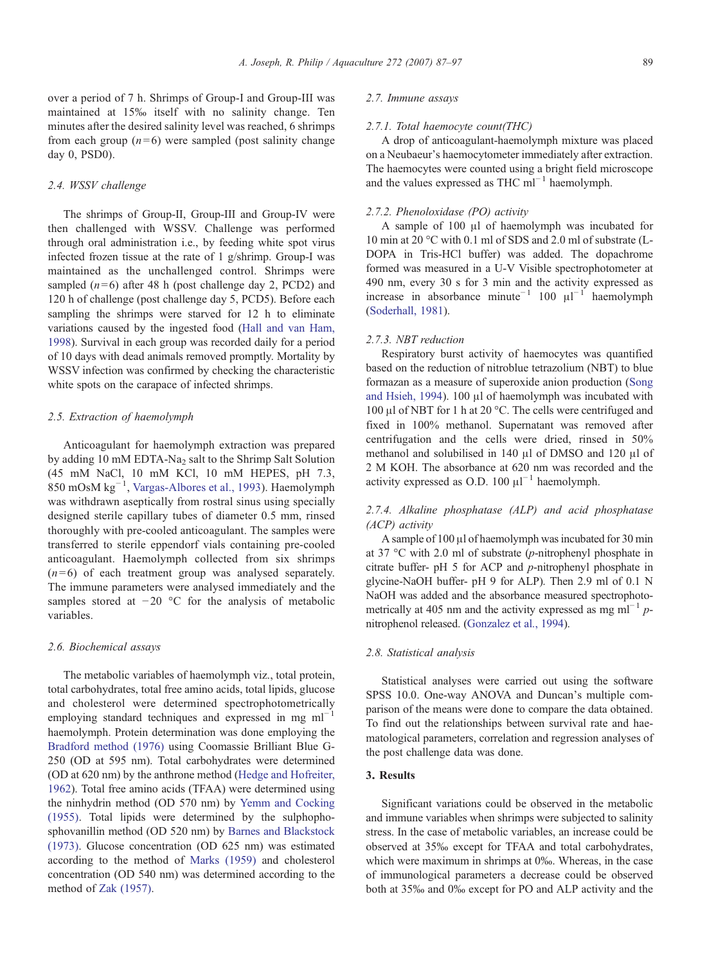over a period of 7 h. Shrimps of Group-I and Group-III was maintained at 15‰ itself with no salinity change. Ten minutes after the desired salinity level was reached, 6 shrimps from each group  $(n=6)$  were sampled (post salinity change day 0, PSD0).

## 2.4. WSSV challenge

The shrimps of Group-II, Group-III and Group-IV were then challenged with WSSV. Challenge was performed through oral administration i.e., by feeding white spot virus infected frozen tissue at the rate of 1 g/shrimp. Group-I was maintained as the unchallenged control. Shrimps were sampled  $(n=6)$  after 48 h (post challenge day 2, PCD2) and 120 h of challenge (post challenge day 5, PCD5). Before each sampling the shrimps were starved for 12 h to eliminate variations caused by the ingested food ([Hall and van Ham,](#page-9-0) [1998\)](#page-9-0). Survival in each group was recorded daily for a period of 10 days with dead animals removed promptly. Mortality by WSSV infection was confirmed by checking the characteristic white spots on the carapace of infected shrimps.

## 2.5. Extraction of haemolymph

Anticoagulant for haemolymph extraction was prepared by adding 10 mM EDTA-Na<sub>2</sub> salt to the Shrimp Salt Solution (45 mM NaCl, 10 mM KCl, 10 mM HEPES, pH 7.3, 850 mOsM kg−<sup>1</sup> , [Vargas-Albores et al., 1993](#page-10-0)). Haemolymph was withdrawn aseptically from rostral sinus using specially designed sterile capillary tubes of diameter 0.5 mm, rinsed thoroughly with pre-cooled anticoagulant. The samples were transferred to sterile eppendorf vials containing pre-cooled anticoagulant. Haemolymph collected from six shrimps  $(n=6)$  of each treatment group was analysed separately. The immune parameters were analysed immediately and the samples stored at −20 °C for the analysis of metabolic variables.

## 2.6. Biochemical assays

The metabolic variables of haemolymph viz., total protein, total carbohydrates, total free amino acids, total lipids, glucose and cholesterol were determined spectrophotometrically employing standard techniques and expressed in mg ml<sup> $-1$ </sup> haemolymph. Protein determination was done employing the [Bradford method \(1976\)](#page-9-0) using Coomassie Brilliant Blue G-250 (OD at 595 nm). Total carbohydrates were determined (OD at 620 nm) by the anthrone method ([Hedge and Hofreiter,](#page-9-0) [1962\)](#page-9-0). Total free amino acids (TFAA) were determined using the ninhydrin method (OD 570 nm) by [Yemm and Cocking](#page-10-0) [\(1955\).](#page-10-0) Total lipids were determined by the sulphophosphovanillin method (OD 520 nm) by [Barnes and Blackstock](#page-9-0) [\(1973\).](#page-9-0) Glucose concentration (OD 625 nm) was estimated according to the method of [Marks \(1959\)](#page-9-0) and cholesterol concentration (OD 540 nm) was determined according to the method of [Zak \(1957\).](#page-10-0)

## 2.7. Immune assays

### 2.7.1. Total haemocyte count(THC)

A drop of anticoagulant-haemolymph mixture was placed on a Neubaeur's haemocytometer immediately after extraction. The haemocytes were counted using a bright field microscope and the values expressed as THC ml<sup>-1</sup> haemolymph.

## 2.7.2. Phenoloxidase (PO) activity

A sample of 100 μl of haemolymph was incubated for 10 min at 20 °C with 0.1 ml of SDS and 2.0 ml of substrate (L-DOPA in Tris-HCl buffer) was added. The dopachrome formed was measured in a U-V Visible spectrophotometer at 490 nm, every 30 s for 3 min and the activity expressed as increase in absorbance minute<sup>-1</sup> 100  $\mu$ <sup>-1</sup> haemolymph ([Soderhall, 1981\)](#page-10-0).

#### 2.7.3. NBT reduction

Respiratory burst activity of haemocytes was quantified based on the reduction of nitroblue tetrazolium (NBT) to blue formazan as a measure of superoxide anion production ([Song](#page-10-0) [and Hsieh, 1994\)](#page-10-0). 100 μl of haemolymph was incubated with 100 μl of NBT for 1 h at 20 °C. The cells were centrifuged and fixed in 100% methanol. Supernatant was removed after centrifugation and the cells were dried, rinsed in 50% methanol and solubilised in 140 μl of DMSO and 120 μl of 2 M KOH. The absorbance at 620 nm was recorded and the activity expressed as O.D.  $100 \mu l^{-1}$  haemolymph.

# 2.7.4. Alkaline phosphatase (ALP) and acid phosphatase (ACP) activity

A sample of 100 μl of haemolymph was incubated for 30 min at 37 °C with 2.0 ml of substrate (p-nitrophenyl phosphate in citrate buffer- pH 5 for ACP and p-nitrophenyl phosphate in glycine-NaOH buffer- pH 9 for ALP). Then 2.9 ml of 0.1 N NaOH was added and the absorbance measured spectrophotometrically at 405 nm and the activity expressed as mg ml<sup>-1</sup> pnitrophenol released. [\(Gonzalez et al., 1994](#page-9-0)).

## 2.8. Statistical analysis

Statistical analyses were carried out using the software SPSS 10.0. One-way ANOVA and Duncan's multiple comparison of the means were done to compare the data obtained. To find out the relationships between survival rate and haematological parameters, correlation and regression analyses of the post challenge data was done.

# 3. Results

Significant variations could be observed in the metabolic and immune variables when shrimps were subjected to salinity stress. In the case of metabolic variables, an increase could be observed at 35‰ except for TFAA and total carbohydrates, which were maximum in shrimps at 0‰. Whereas, in the case of immunological parameters a decrease could be observed both at 35‰ and 0‰ except for PO and ALP activity and the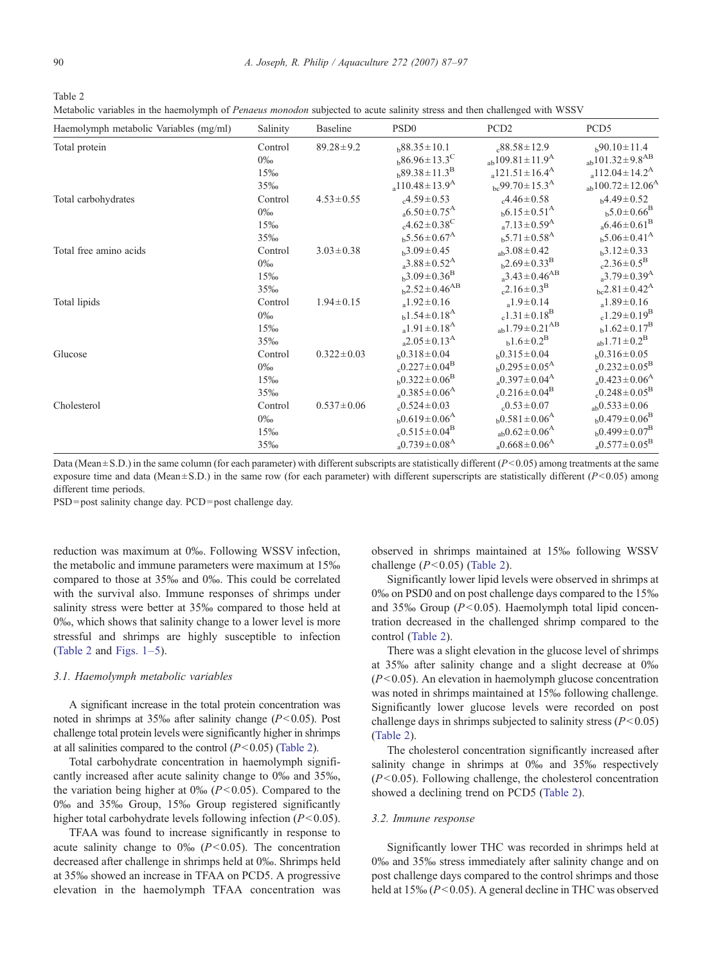Table 2

Metabolic variables in the haemolymph of Penaeus monodon subjected to acute salinity stress and then challenged with WSSV

| Haemolymph metabolic Variables (mg/ml) | Salinity | Baseline         | PSD <sub>0</sub>                     | PCD <sub>2</sub>                     | PCD <sub>5</sub>                     |
|----------------------------------------|----------|------------------|--------------------------------------|--------------------------------------|--------------------------------------|
| Total protein                          | Control  | $89.28 \pm 9.2$  | $h88.35 \pm 10.1$                    | $.88.58 \pm 12.9$                    | $b^{90.10 \pm 11.4}$                 |
|                                        | $0\%$    |                  | $h^{86.96 \pm 13.3^{\circ}$          | $_{ab}109.81 \pm 11.9$ <sup>A</sup>  | $_{ab}101.32 \pm 9.8$ <sup>AB</sup>  |
|                                        | 15‰      |                  | $b89.38 \pm 11.3^B$                  | $a121.51 \pm 16.4$ <sup>A</sup>      | $a112.04 \pm 14.2^A$                 |
|                                        | 35‰      |                  | $_{a}110.48\pm13.9^{A}$              | $_{bc}99.70 \pm 15.3$ <sup>A</sup>   | $_{ab}100.72 \pm 12.06$ <sup>A</sup> |
| Total carbohydrates                    | Control  | $4.53 \pm 0.55$  | $.4.59 \pm 0.53$                     | $.4.46 \pm 0.58$                     | $b4.49 \pm 0.52$                     |
|                                        | $0\%$    |                  | $_{a}6.50\pm0.75^{A}$                | $b^{6.15 \pm 0.51^{\rm A}}$          | $b^{5.0 \pm 0.66}$ <sup>B</sup>      |
|                                        | 15%      |                  | $_{c}4.62 \pm 0.38$ <sup>C</sup>     | $_{a}7.13 \pm 0.59$ <sup>A</sup>     | $_{a}6.46\pm0.61^{B}$                |
|                                        | 35%      |                  | $b$ 5.56 $\pm$ 0.67 <sup>A</sup>     | $b^{5.71 \pm 0.58$ <sup>A</sup>      | $b^{5.06 \pm 0.41^{\rm A}}$          |
| Total free amino acids                 | Control  | $3.03 \pm 0.38$  | $h^3.09 \pm 0.45$                    | $_{ab}3.08 \pm 0.42$                 | $h^3.12 \pm 0.33$                    |
|                                        | $0\%$    |                  | $a^{3.88 \pm 0.52^A}$                | $b^2.69 \pm 0.33^B$                  | $_{c}2.36\pm0.5^{B}$                 |
|                                        | 15‰      |                  | $b^{3.09 \pm 0.36}$ <sup>B</sup>     | $a^{3.43 \pm 0.46^{AB}}$             | $a^{3.79 \pm 0.39^A}$                |
|                                        | 35‰      |                  | $h^{2.52 \pm 0.46}$ <sup>AB</sup>    | $c^{2.16 \pm 0.3^{B}}$               | $_{bc}$ 2.81 $\pm$ 0.42 <sup>A</sup> |
| Total lipids                           | Control  | $1.94 \pm 0.15$  | $1.92 \pm 0.16$                      | $1.9 \pm 0.14$                       | $a^{1.89 \pm 0.16}$                  |
|                                        | $0\%$    |                  | $b^{1.54 \pm 0.18^A}$                | $c^{1.31 \pm 0.18^B}$                | $c1.29 \pm 0.19$ <sup>B</sup>        |
|                                        | 15%      |                  | $a^{1.91 \pm 0.18^{A}}$              | $_{ab}1.79\pm0.21^{AB}$              | $b^{1.62 \pm 0.17^B}$                |
|                                        | 35‰      |                  | $a^{2.05 \pm 0.13^{A}}$              | $h^{1.6 \pm 0.2^B}$                  | $_{ab}1.71 \pm 0.2^{B}$              |
| Glucose                                | Control  | $0.322 \pm 0.03$ | $b^{0.318 \pm 0.04}$                 | $h0.315 \pm 0.04$                    | $b^{0.316 \pm 0.05}$                 |
|                                        | $0\%$    |                  | $_{c}$ 0.227 ± 0.04 <sup>B</sup>     | $h^{0.295 \pm 0.05^{\rm A}}$         | $_{c}0.232 \pm 0.05^{\rm B}$         |
|                                        | 15‰      |                  | $b^{0.322 \pm 0.06}$ <sup>B</sup>    | $_{a}$ 0.397 ± 0.04 <sup>A</sup>     | $_{a}0.423 \pm 0.06$ <sup>A</sup>    |
|                                        | 35%      |                  | $_{a}$ 0.385 ± 0.06 <sup>A</sup>     | $_{c}$ 0.216 $\pm$ 0.04 <sup>B</sup> | $_{c}0.248 \pm 0.05^{B}$             |
| Cholesterol                            | Control  | $0.537 \pm 0.06$ | $.0.524 \pm 0.03$                    | $.0.53 \pm 0.07$                     | $_{ab}0.533 \pm 0.06$                |
|                                        | $0\%$    |                  | $h^{0.619 \pm 0.06^{\rm A}}$         | $b^{0.581 \pm 0.06^{\rm A}}$         | $b0.479 \pm 0.06^B$                  |
|                                        | 15‰      |                  | $_{c}$ 0.515 $\pm$ 0.04 <sup>B</sup> | $_{ab}$ 0.62 $\pm$ 0.06 <sup>A</sup> | $b^{0.499 \pm 0.07^B}$               |
|                                        | 35‰      |                  | $_{a}0.739\pm0.08^{A}$               | $_{a}$ 0.668 ± 0.06 <sup>A</sup>     | $_{a}$ 0.577 ± 0.05 <sup>B</sup>     |

Data (Mean  $\pm$  S.D.) in the same column (for each parameter) with different subscripts are statistically different ( $P$ <0.05) among treatments at the same exposure time and data (Mean  $\pm$  S.D.) in the same row (for each parameter) with different superscripts are statistically different ( $P$ <0.05) among different time periods.

PSD=post salinity change day. PCD=post challenge day.

reduction was maximum at 0‰. Following WSSV infection, the metabolic and immune parameters were maximum at 15‰ compared to those at 35‰ and 0‰. This could be correlated with the survival also. Immune responses of shrimps under salinity stress were better at 35‰ compared to those held at 0‰, which shows that salinity change to a lower level is more stressful and shrimps are highly susceptible to infection (Table 2 and [Figs. 1](#page-4-0)–5).

## 3.1. Haemolymph metabolic variables

A significant increase in the total protein concentration was noted in shrimps at  $35\%$  after salinity change ( $P<0.05$ ). Post challenge total protein levels were significantly higher in shrimps at all salinities compared to the control  $(P<0.05)$  (Table 2).

Total carbohydrate concentration in haemolymph significantly increased after acute salinity change to 0‰ and 35‰, the variation being higher at  $0\% (P<0.05)$ . Compared to the 0‰ and 35‰ Group, 15‰ Group registered significantly higher total carbohydrate levels following infection  $(P<0.05)$ .

TFAA was found to increase significantly in response to acute salinity change to  $0\%$  ( $P<0.05$ ). The concentration decreased after challenge in shrimps held at 0‰. Shrimps held at 35‰ showed an increase in TFAA on PCD5. A progressive elevation in the haemolymph TFAA concentration was

observed in shrimps maintained at 15‰ following WSSV challenge  $(P<0.05)$  (Table 2).

Significantly lower lipid levels were observed in shrimps at 0‰ on PSD0 and on post challenge days compared to the 15‰ and 35‰ Group ( $P<0.05$ ). Haemolymph total lipid concentration decreased in the challenged shrimp compared to the control (Table 2).

There was a slight elevation in the glucose level of shrimps at 35‰ after salinity change and a slight decrease at 0‰  $(P<0.05)$ . An elevation in haemolymph glucose concentration was noted in shrimps maintained at 15‰ following challenge. Significantly lower glucose levels were recorded on post challenge days in shrimps subjected to salinity stress  $(P<0.05)$ (Table 2).

The cholesterol concentration significantly increased after salinity change in shrimps at 0‰ and 35‰ respectively  $(P<0.05)$ . Following challenge, the cholesterol concentration showed a declining trend on PCD5 (Table 2).

#### 3.2. Immune response

Significantly lower THC was recorded in shrimps held at 0‰ and 35‰ stress immediately after salinity change and on post challenge days compared to the control shrimps and those held at  $15\% (P<0.05)$ . A general decline in THC was observed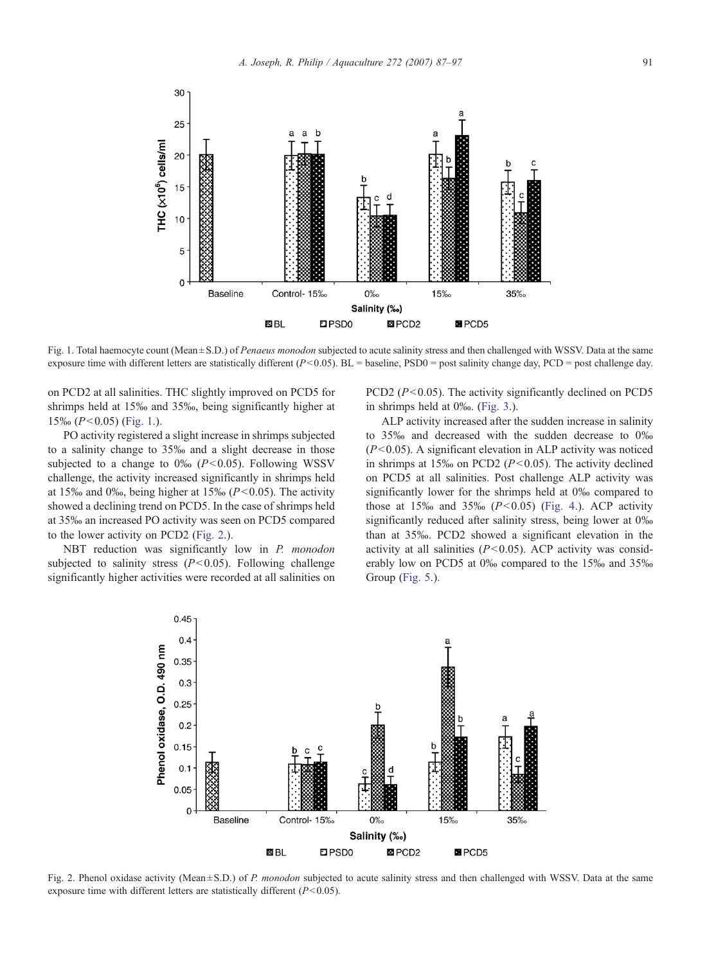<span id="page-4-0"></span>

Fig. 1. Total haemocyte count (Mean ± S.D.) of Penaeus monodon subjected to acute salinity stress and then challenged with WSSV. Data at the same exposure time with different letters are statistically different ( $P<0.05$ ). BL = baseline, PSD0 = post salinity change day, PCD = post challenge day.

on PCD2 at all salinities. THC slightly improved on PCD5 for shrimps held at 15‰ and 35‰, being significantly higher at  $15\%$  ( $P<0.05$ ) (Fig. 1.).

PO activity registered a slight increase in shrimps subjected to a salinity change to 35‰ and a slight decrease in those subjected to a change to  $0\%$  ( $P<0.05$ ). Following WSSV challenge, the activity increased significantly in shrimps held at 15‰ and 0‰, being higher at 15‰ ( $P<0.05$ ). The activity showed a declining trend on PCD5. In the case of shrimps held at 35‰ an increased PO activity was seen on PCD5 compared to the lower activity on PCD2 (Fig. 2.).

NBT reduction was significantly low in P. monodon subjected to salinity stress ( $P<0.05$ ). Following challenge significantly higher activities were recorded at all salinities on PCD2 ( $P < 0.05$ ). The activity significantly declined on PCD5 in shrimps held at 0‰. ([Fig. 3](#page-5-0).).

ALP activity increased after the sudden increase in salinity to 35‰ and decreased with the sudden decrease to 0‰  $(P<0.05)$ . A significant elevation in ALP activity was noticed in shrimps at 15‰ on PCD2 ( $P < 0.05$ ). The activity declined on PCD5 at all salinities. Post challenge ALP activity was significantly lower for the shrimps held at 0‰ compared to those at  $15\%$  and  $35\%$   $(P<0.05)$  ([Fig. 4.](#page-5-0)). ACP activity significantly reduced after salinity stress, being lower at 0‰ than at 35‰. PCD2 showed a significant elevation in the activity at all salinities  $(P<0.05)$ . ACP activity was considerably low on PCD5 at 0‰ compared to the 15‰ and 35‰ Group [\(Fig. 5.](#page-6-0)).



Fig. 2. Phenol oxidase activity (Mean $\pm$ S.D.) of P. monodon subjected to acute salinity stress and then challenged with WSSV. Data at the same exposure time with different letters are statistically different  $(P<0.05)$ .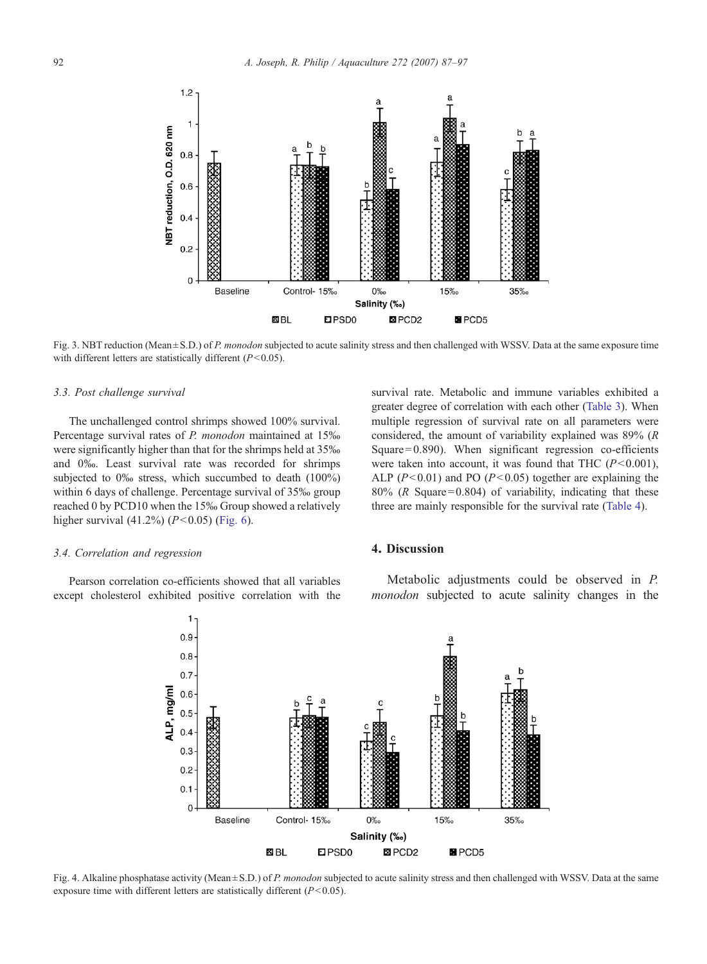<span id="page-5-0"></span>

Fig. 3. NBT reduction (Mean±S.D.) of P. monodon subjected to acute salinity stress and then challenged with WSSV. Data at the same exposure time with different letters are statistically different  $(P<0.05)$ .

## 3.3. Post challenge survival

The unchallenged control shrimps showed 100% survival. Percentage survival rates of P. monodon maintained at 15‰ were significantly higher than that for the shrimps held at 35‰ and 0‰. Least survival rate was recorded for shrimps subjected to 0‰ stress, which succumbed to death (100%) within 6 days of challenge. Percentage survival of 35‰ group reached 0 by PCD10 when the 15‰ Group showed a relatively higher survival  $(41.2\%) (P<0.05)$  ([Fig. 6](#page-6-0)).

#### 3.4. Correlation and regression

Pearson correlation co-efficients showed that all variables except cholesterol exhibited positive correlation with the



# 4. Discussion

Metabolic adjustments could be observed in P. monodon subjected to acute salinity changes in the



Fig. 4. Alkaline phosphatase activity (Mean ± S.D.) of P. monodon subjected to acute salinity stress and then challenged with WSSV. Data at the same exposure time with different letters are statistically different  $(P<0.05)$ .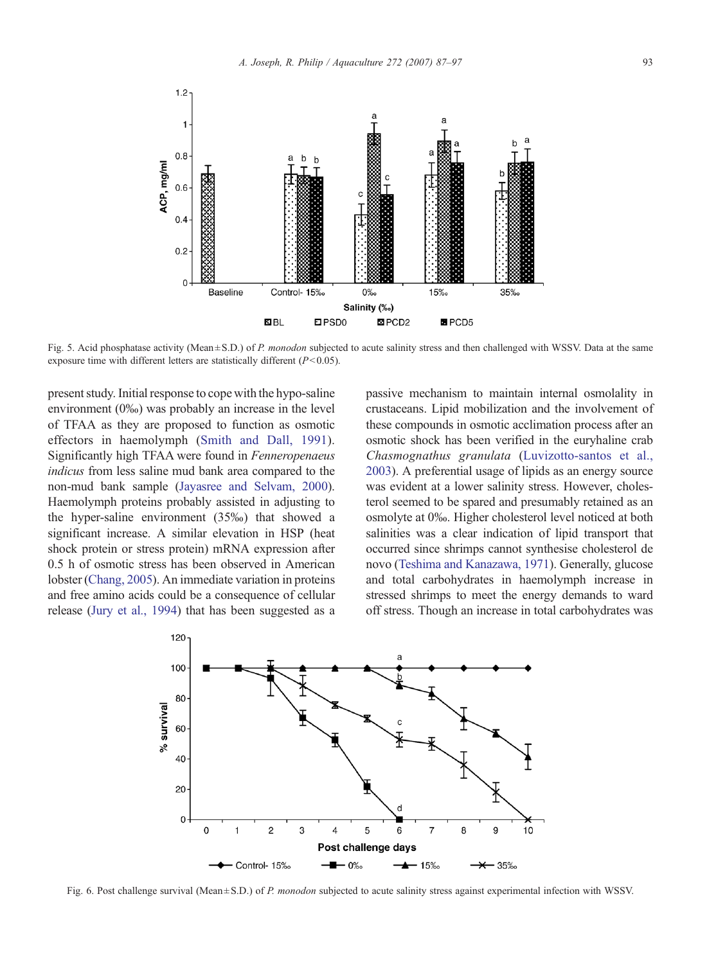<span id="page-6-0"></span>

Fig. 5. Acid phosphatase activity (Mean ± S.D.) of P. monodon subjected to acute salinity stress and then challenged with WSSV. Data at the same exposure time with different letters are statistically different  $(P<0.05)$ .

present study. Initial response to cope with the hypo-saline environment (0‰) was probably an increase in the level of TFAA as they are proposed to function as osmotic effectors in haemolymph ([Smith and Dall, 1991](#page-10-0)). Significantly high TFAA were found in Fenneropenaeus indicus from less saline mud bank area compared to the non-mud bank sample [\(Jayasree and Selvam, 2000](#page-9-0)). Haemolymph proteins probably assisted in adjusting to the hyper-saline environment (35‰) that showed a significant increase. A similar elevation in HSP (heat shock protein or stress protein) mRNA expression after 0.5 h of osmotic stress has been observed in American lobster [\(Chang, 2005](#page-9-0)). An immediate variation in proteins and free amino acids could be a consequence of cellular release [\(Jury et al., 1994](#page-9-0)) that has been suggested as a

passive mechanism to maintain internal osmolality in crustaceans. Lipid mobilization and the involvement of these compounds in osmotic acclimation process after an osmotic shock has been verified in the euryhaline crab Chasmognathus granulata [\(Luvizotto-santos et al.,](#page-9-0) [2003\)](#page-9-0). A preferential usage of lipids as an energy source was evident at a lower salinity stress. However, cholesterol seemed to be spared and presumably retained as an osmolyte at 0‰. Higher cholesterol level noticed at both salinities was a clear indication of lipid transport that occurred since shrimps cannot synthesise cholesterol de novo [\(Teshima and Kanazawa, 1971](#page-10-0)). Generally, glucose and total carbohydrates in haemolymph increase in stressed shrimps to meet the energy demands to ward off stress. Though an increase in total carbohydrates was



Fig. 6. Post challenge survival (Mean ± S.D.) of P. monodon subjected to acute salinity stress against experimental infection with WSSV.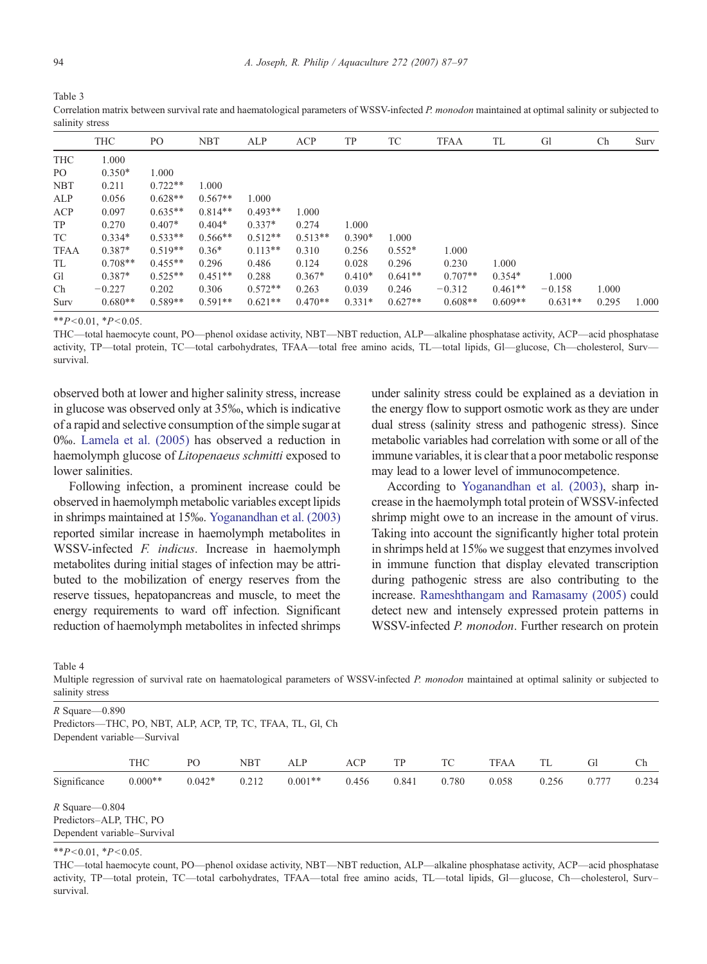<span id="page-7-0"></span>

| Table 3                                                                                                                                           |
|---------------------------------------------------------------------------------------------------------------------------------------------------|
| Correlation matrix between survival rate and haematological parameters of WSSV-infected P. monodon maintained at optimal salinity or subjected to |
| salinity stress                                                                                                                                   |

|             | <b>THC</b> | PO        | <b>NBT</b> | ALP       | ACP       | TP       | TC        | <b>TFAA</b> | TL        | Gl        | Ch    | Surv  |
|-------------|------------|-----------|------------|-----------|-----------|----------|-----------|-------------|-----------|-----------|-------|-------|
| THC         | 1.000      |           |            |           |           |          |           |             |           |           |       |       |
| PO.         | $0.350*$   | 1.000     |            |           |           |          |           |             |           |           |       |       |
| <b>NBT</b>  | 0.211      | $0.722**$ | 1.000      |           |           |          |           |             |           |           |       |       |
| ALP         | 0.056      | $0.628**$ | $0.567**$  | 1.000     |           |          |           |             |           |           |       |       |
| ACP         | 0.097      | $0.635**$ | $0.814**$  | $0.493**$ | 1.000     |          |           |             |           |           |       |       |
| TP          | 0.270      | $0.407*$  | $0.404*$   | $0.337*$  | 0.274     | 1.000    |           |             |           |           |       |       |
| TC          | $0.334*$   | $0.533**$ | $0.566**$  | $0.512**$ | $0.513**$ | $0.390*$ | 1.000     |             |           |           |       |       |
| <b>TFAA</b> | $0.387*$   | $0.519**$ | $0.36*$    | $0.113**$ | 0.310     | 0.256    | $0.552*$  | 1.000       |           |           |       |       |
| TL          | $0.708**$  | $0.455**$ | 0.296      | 0.486     | 0.124     | 0.028    | 0.296     | 0.230       | 1.000     |           |       |       |
| Gl          | $0.387*$   | $0.525**$ | $0.451**$  | 0.288     | $0.367*$  | $0.410*$ | $0.641**$ | $0.707**$   | $0.354*$  | 1.000     |       |       |
| Ch          | $-0.227$   | 0.202     | 0.306      | $0.572**$ | 0.263     | 0.039    | 0.246     | $-0.312$    | $0.461**$ | $-0.158$  | 1.000 |       |
| Surv        | $0.680**$  | $0.589**$ | $0.591**$  | $0.621**$ | $0.470**$ | $0.331*$ | $0.627**$ | $0.608**$   | $0.609**$ | $0.631**$ | 0.295 | 1.000 |

 $*P<0.01, *P<0.05.$ 

THC—total haemocyte count, PO—phenol oxidase activity, NBT—NBT reduction, ALP—alkaline phosphatase activity, ACP—acid phosphatase activity, TP—total protein, TC—total carbohydrates, TFAA—total free amino acids, TL—total lipids, Gl—glucose, Ch—cholesterol, Surv survival.

observed both at lower and higher salinity stress, increase in glucose was observed only at 35‰, which is indicative of a rapid and selective consumption of the simple sugar at 0‰. [Lamela et al. \(2005\)](#page-9-0) has observed a reduction in haemolymph glucose of Litopenaeus schmitti exposed to lower salinities.

Following infection, a prominent increase could be observed in haemolymph metabolic variables except lipids in shrimps maintained at 15‰. [Yoganandhan et al. \(2003\)](#page-10-0) reported similar increase in haemolymph metabolites in WSSV-infected *F. indicus*. Increase in haemolymph metabolites during initial stages of infection may be attributed to the mobilization of energy reserves from the reserve tissues, hepatopancreas and muscle, to meet the energy requirements to ward off infection. Significant reduction of haemolymph metabolites in infected shrimps under salinity stress could be explained as a deviation in the energy flow to support osmotic work as they are under dual stress (salinity stress and pathogenic stress). Since metabolic variables had correlation with some or all of the immune variables, it is clear that a poor metabolic response may lead to a lower level of immunocompetence.

According to [Yoganandhan et al. \(2003\)](#page-10-0), sharp increase in the haemolymph total protein of WSSV-infected shrimp might owe to an increase in the amount of virus. Taking into account the significantly higher total protein in shrimps held at 15‰ we suggest that enzymes involved in immune function that display elevated transcription during pathogenic stress are also contributing to the increase. [Rameshthangam and Ramasamy \(2005\)](#page-9-0) could detect new and intensely expressed protein patterns in WSSV-infected P. monodon. Further research on protein

Table 4

Multiple regression of survival rate on haematological parameters of WSSV-infected P. monodon maintained at optimal salinity or subjected to salinity stress

| $R$ Square - 0.890<br>Predictors—THC, PO, NBT, ALP, ACP, TP, TC, TFAA, TL, Gl, Ch<br>Dependent variable—Survival |            |          |            |           |       |       |       |             |       |       |       |
|------------------------------------------------------------------------------------------------------------------|------------|----------|------------|-----------|-------|-------|-------|-------------|-------|-------|-------|
|                                                                                                                  | <b>THC</b> | PО       | <b>NBT</b> | ALP       | ACP   | TP    | TC    | <b>TFAA</b> | TL    | Gl    | Ch    |
| Significance                                                                                                     | $0.000**$  | $0.042*$ | 0.212      | $0.001**$ | 0.456 | 0.841 | 0.780 | 0.058       | 0.256 | 0.777 | 0.234 |
| $R$ Square - 0.804                                                                                               |            |          |            |           |       |       |       |             |       |       |       |
| Predictors-ALP, THC, PO                                                                                          |            |          |            |           |       |       |       |             |       |       |       |
| Dependent variable-Survival                                                                                      |            |          |            |           |       |       |       |             |       |       |       |

 $*$  $P< 0.01$ ,  $*P< 0.05$ .

THC—total haemocyte count, PO—phenol oxidase activity, NBT—NBT reduction, ALP—alkaline phosphatase activity, ACP—acid phosphatase activity, TP—total protein, TC—total carbohydrates, TFAA—total free amino acids, TL—total lipids, Gl—glucose, Ch—cholesterol, Surv– survival.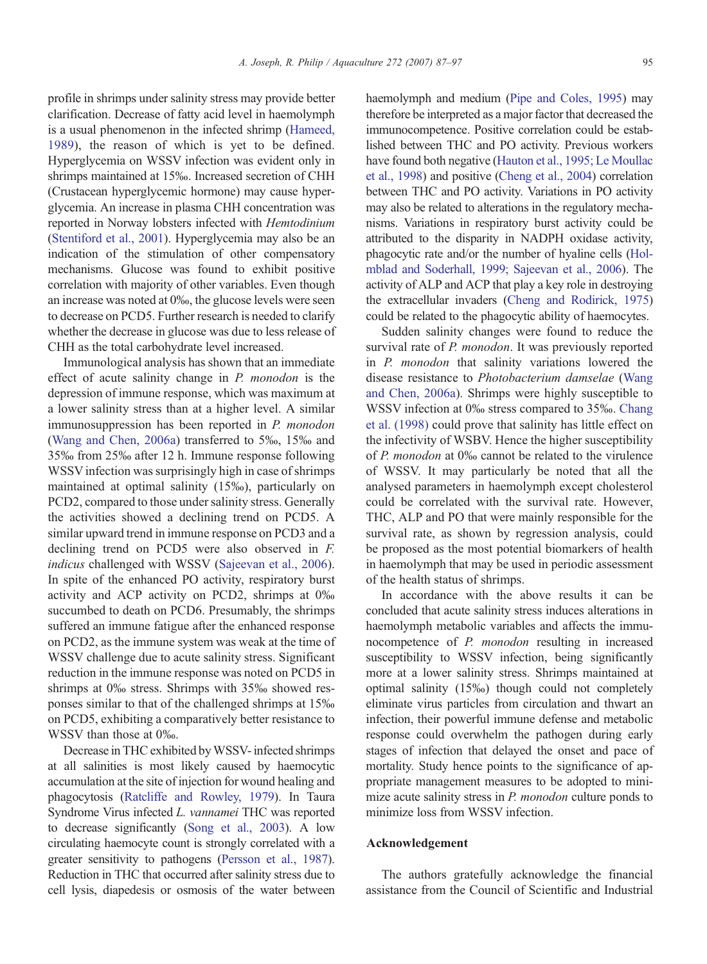profile in shrimps under salinity stress may provide better clarification. Decrease of fatty acid level in haemolymph is a usual phenomenon in the infected shrimp [\(Hameed,](#page-9-0) [1989](#page-9-0)), the reason of which is yet to be defined. Hyperglycemia on WSSV infection was evident only in shrimps maintained at 15‰. Increased secretion of CHH (Crustacean hyperglycemic hormone) may cause hyperglycemia. An increase in plasma CHH concentration was reported in Norway lobsters infected with Hemtodinium [\(Stentiford et al., 2001](#page-10-0)). Hyperglycemia may also be an indication of the stimulation of other compensatory mechanisms. Glucose was found to exhibit positive correlation with majority of other variables. Even though an increase was noted at 0‰, the glucose levels were seen to decrease on PCD5. Further research is needed to clarify whether the decrease in glucose was due to less release of CHH as the total carbohydrate level increased.

Immunological analysis has shown that an immediate effect of acute salinity change in P. monodon is the depression of immune response, which was maximum at a lower salinity stress than at a higher level. A similar immunosuppression has been reported in P. monodon [\(Wang and Chen, 2006a](#page-10-0)) transferred to 5‰, 15‰ and 35‰ from 25‰ after 12 h. Immune response following WSSV infection was surprisingly high in case of shrimps maintained at optimal salinity (15‰), particularly on PCD2, compared to those under salinity stress. Generally the activities showed a declining trend on PCD5. A similar upward trend in immune response on PCD3 and a declining trend on PCD5 were also observed in F. indicus challenged with WSSV ([Sajeevan et al., 2006](#page-10-0)). In spite of the enhanced PO activity, respiratory burst activity and ACP activity on PCD2, shrimps at 0‰ succumbed to death on PCD6. Presumably, the shrimps suffered an immune fatigue after the enhanced response on PCD2, as the immune system was weak at the time of WSSV challenge due to acute salinity stress. Significant reduction in the immune response was noted on PCD5 in shrimps at 0‰ stress. Shrimps with 35‰ showed responses similar to that of the challenged shrimps at 15‰ on PCD5, exhibiting a comparatively better resistance to WSSV than those at 0‰.

Decrease in THC exhibited byWSSV- infected shrimps at all salinities is most likely caused by haemocytic accumulation at the site of injection for wound healing and phagocytosis ([Ratcliffe and Rowley, 1979](#page-9-0)). In Taura Syndrome Virus infected L. vannamei THC was reported to decrease significantly ([Song et al., 2003](#page-10-0)). A low circulating haemocyte count is strongly correlated with a greater sensitivity to pathogens ([Persson et al., 1987](#page-9-0)). Reduction in THC that occurred after salinity stress due to cell lysis, diapedesis or osmosis of the water between

haemolymph and medium ([Pipe and Coles, 1995](#page-9-0)) may therefore be interpreted as a major factor that decreased the immunocompetence. Positive correlation could be established between THC and PO activity. Previous workers have found both negative ([Hauton et al., 1995; Le Moullac](#page-9-0) [et al., 1998](#page-9-0)) and positive [\(Cheng et al., 2004\)](#page-9-0) correlation between THC and PO activity. Variations in PO activity may also be related to alterations in the regulatory mechanisms. Variations in respiratory burst activity could be attributed to the disparity in NADPH oxidase activity, phagocytic rate and/or the number of hyaline cells [\(Hol](#page-9-0)[mblad and Soderhall, 1999; Sajeevan et al., 2006\)](#page-9-0). The activity of ALP and ACP that play a key role in destroying the extracellular invaders ([Cheng and Rodirick, 1975\)](#page-9-0) could be related to the phagocytic ability of haemocytes.

Sudden salinity changes were found to reduce the survival rate of P. monodon. It was previously reported in P. monodon that salinity variations lowered the disease resistance to Photobacterium damselae [\(Wang](#page-10-0) [and Chen, 2006a](#page-10-0)). Shrimps were highly susceptible to WSSV infection at 0‰ stress compared to 35‰. [Chang](#page-9-0) [et al. \(1998\)](#page-9-0) could prove that salinity has little effect on the infectivity of WSBV. Hence the higher susceptibility of P. monodon at 0‰ cannot be related to the virulence of WSSV. It may particularly be noted that all the analysed parameters in haemolymph except cholesterol could be correlated with the survival rate. However, THC, ALP and PO that were mainly responsible for the survival rate, as shown by regression analysis, could be proposed as the most potential biomarkers of health in haemolymph that may be used in periodic assessment of the health status of shrimps.

In accordance with the above results it can be concluded that acute salinity stress induces alterations in haemolymph metabolic variables and affects the immunocompetence of P. monodon resulting in increased susceptibility to WSSV infection, being significantly more at a lower salinity stress. Shrimps maintained at optimal salinity (15‰) though could not completely eliminate virus particles from circulation and thwart an infection, their powerful immune defense and metabolic response could overwhelm the pathogen during early stages of infection that delayed the onset and pace of mortality. Study hence points to the significance of appropriate management measures to be adopted to minimize acute salinity stress in *P. monodon* culture ponds to minimize loss from WSSV infection.

## Acknowledgement

The authors gratefully acknowledge the financial assistance from the Council of Scientific and Industrial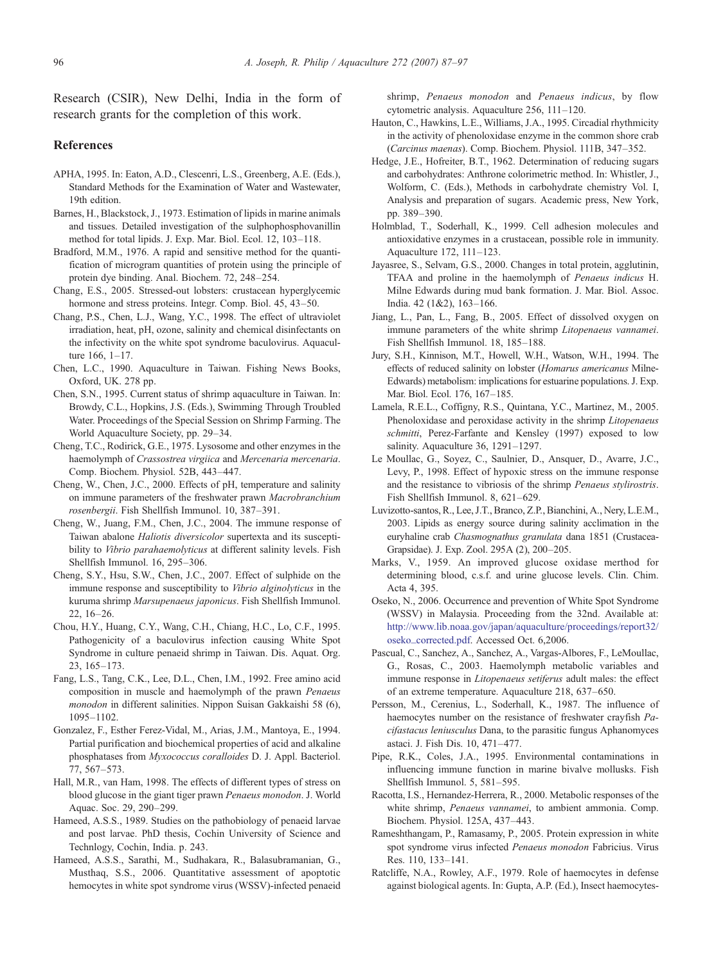<span id="page-9-0"></span>Research (CSIR), New Delhi, India in the form of research grants for the completion of this work.

# References

- APHA, 1995. In: Eaton, A.D., Clescenri, L.S., Greenberg, A.E. (Eds.), Standard Methods for the Examination of Water and Wastewater, 19th edition.
- Barnes, H., Blackstock, J., 1973. Estimation of lipids in marine animals and tissues. Detailed investigation of the sulphophosphovanillin method for total lipids. J. Exp. Mar. Biol. Ecol. 12, 103–118.
- Bradford, M.M., 1976. A rapid and sensitive method for the quantification of microgram quantities of protein using the principle of protein dye binding. Anal. Biochem. 72, 248–254.
- Chang, E.S., 2005. Stressed-out lobsters: crustacean hyperglycemic hormone and stress proteins. Integr. Comp. Biol. 45, 43–50.
- Chang, P.S., Chen, L.J., Wang, Y.C., 1998. The effect of ultraviolet irradiation, heat, pH, ozone, salinity and chemical disinfectants on the infectivity on the white spot syndrome baculovirus. Aquaculture 166, 1–17.
- Chen, L.C., 1990. Aquaculture in Taiwan. Fishing News Books, Oxford, UK. 278 pp.
- Chen, S.N., 1995. Current status of shrimp aquaculture in Taiwan. In: Browdy, C.L., Hopkins, J.S. (Eds.), Swimming Through Troubled Water. Proceedings of the Special Session on Shrimp Farming. The World Aquaculture Society, pp. 29–34.
- Cheng, T.C., Rodirick, G.E., 1975. Lysosome and other enzymes in the haemolymph of Crassostrea virgiica and Mercenaria mercenaria. Comp. Biochem. Physiol. 52B, 443–447.
- Cheng, W., Chen, J.C., 2000. Effects of pH, temperature and salinity on immune parameters of the freshwater prawn Macrobranchium rosenbergii. Fish Shellfish Immunol. 10, 387–391.
- Cheng, W., Juang, F.M., Chen, J.C., 2004. The immune response of Taiwan abalone Haliotis diversicolor supertexta and its susceptibility to Vibrio parahaemolyticus at different salinity levels. Fish Shellfish Immunol. 16, 295–306.
- Cheng, S.Y., Hsu, S.W., Chen, J.C., 2007. Effect of sulphide on the immune response and susceptibility to *Vibrio alginolyticus* in the kuruma shrimp Marsupenaeus japonicus. Fish Shellfish Immunol. 22, 16–26.
- Chou, H.Y., Huang, C.Y., Wang, C.H., Chiang, H.C., Lo, C.F., 1995. Pathogenicity of a baculovirus infection causing White Spot Syndrome in culture penaeid shrimp in Taiwan. Dis. Aquat. Org. 23, 165–173.
- Fang, L.S., Tang, C.K., Lee, D.L., Chen, I.M., 1992. Free amino acid composition in muscle and haemolymph of the prawn Penaeus monodon in different salinities. Nippon Suisan Gakkaishi 58 (6), 1095–1102.
- Gonzalez, F., Esther Ferez-Vidal, M., Arias, J.M., Mantoya, E., 1994. Partial purification and biochemical properties of acid and alkaline phosphatases from Myxococcus coralloides D. J. Appl. Bacteriol. 77, 567–573.
- Hall, M.R., van Ham, 1998. The effects of different types of stress on blood glucose in the giant tiger prawn Penaeus monodon. J. World Aquac. Soc. 29, 290–299.
- Hameed, A.S.S., 1989. Studies on the pathobiology of penaeid larvae and post larvae. PhD thesis, Cochin University of Science and Technlogy, Cochin, India. p. 243.
- Hameed, A.S.S., Sarathi, M., Sudhakara, R., Balasubramanian, G., Musthaq, S.S., 2006. Quantitative assessment of apoptotic hemocytes in white spot syndrome virus (WSSV)-infected penaeid

shrimp, Penaeus monodon and Penaeus indicus, by flow cytometric analysis. Aquaculture 256, 111–120.

- Hauton, C., Hawkins, L.E., Williams, J.A., 1995. Circadial rhythmicity in the activity of phenoloxidase enzyme in the common shore crab (Carcinus maenas). Comp. Biochem. Physiol. 111B, 347–352.
- Hedge, J.E., Hofreiter, B.T., 1962. Determination of reducing sugars and carbohydrates: Anthrone colorimetric method. In: Whistler, J., Wolform, C. (Eds.), Methods in carbohydrate chemistry Vol. I, Analysis and preparation of sugars. Academic press, New York, pp. 389–390.
- Holmblad, T., Soderhall, K., 1999. Cell adhesion molecules and antioxidative enzymes in a crustacean, possible role in immunity. Aquaculture 172, 111–123.
- Jayasree, S., Selvam, G.S., 2000. Changes in total protein, agglutinin, TFAA and proline in the haemolymph of Penaeus indicus H. Milne Edwards during mud bank formation. J. Mar. Biol. Assoc. India. 42 (1&2), 163–166.
- Jiang, L., Pan, L., Fang, B., 2005. Effect of dissolved oxygen on immune parameters of the white shrimp Litopenaeus vannamei. Fish Shellfish Immunol. 18, 185–188.
- Jury, S.H., Kinnison, M.T., Howell, W.H., Watson, W.H., 1994. The effects of reduced salinity on lobster (Homarus americanus Milne-Edwards) metabolism: implications for estuarine populations. J. Exp. Mar. Biol. Ecol. 176, 167–185.
- Lamela, R.E.L., Coffigny, R.S., Quintana, Y.C., Martinez, M., 2005. Phenoloxidase and peroxidase activity in the shrimp *Litopenaeus* schmitti, Perez-Farfante and Kensley (1997) exposed to low salinity. Aquaculture 36, 1291-1297.
- Le Moullac, G., Soyez, C., Saulnier, D., Ansquer, D., Avarre, J.C., Levy, P., 1998. Effect of hypoxic stress on the immune response and the resistance to vibriosis of the shrimp Penaeus stylirostris. Fish Shellfish Immunol. 8, 621–629.
- Luvizotto-santos, R., Lee, J.T., Branco, Z.P., Bianchini, A., Nery, L.E.M., 2003. Lipids as energy source during salinity acclimation in the euryhaline crab Chasmognathus granulata dana 1851 (Crustacea-Grapsidae). J. Exp. Zool. 295A (2), 200–205.
- Marks, V., 1959. An improved glucose oxidase merthod for determining blood, c.s.f. and urine glucose levels. Clin. Chim. Acta 4, 395.
- Oseko, N., 2006. Occurrence and prevention of White Spot Syndrome (WSSV) in Malaysia. Proceeding from the 32nd. Available at: [http://www.lib.noaa.gov/japan/aquaculture/proceedings/report32/](http://www.lib.noaa.gov/japan/aquaculture/proceedings/report32/oseko_corrected.pdf) [oseko\\_corrected.pdf](http://www.lib.noaa.gov/japan/aquaculture/proceedings/report32/oseko_corrected.pdf). Accessed Oct. 6,2006.
- Pascual, C., Sanchez, A., Sanchez, A., Vargas-Albores, F., LeMoullac, G., Rosas, C., 2003. Haemolymph metabolic variables and immune response in Litopenaeus setiferus adult males: the effect of an extreme temperature. Aquaculture 218, 637–650.
- Persson, M., Cerenius, L., Soderhall, K., 1987. The influence of haemocytes number on the resistance of freshwater crayfish Pacifastacus leniusculus Dana, to the parasitic fungus Aphanomyces astaci. J. Fish Dis. 10, 471–477.
- Pipe, R.K., Coles, J.A., 1995. Environmental contaminations in influencing immune function in marine bivalve mollusks. Fish Shellfish Immunol. 5, 581–595.
- Racotta, I.S., Hernandez-Herrera, R., 2000. Metabolic responses of the white shrimp, Penaeus vannamei, to ambient ammonia. Comp. Biochem. Physiol. 125A, 437–443.
- Rameshthangam, P., Ramasamy, P., 2005. Protein expression in white spot syndrome virus infected Penaeus monodon Fabricius. Virus Res. 110, 133–141.
- Ratcliffe, N.A., Rowley, A.F., 1979. Role of haemocytes in defense against biological agents. In: Gupta, A.P. (Ed.), Insect haemocytes-